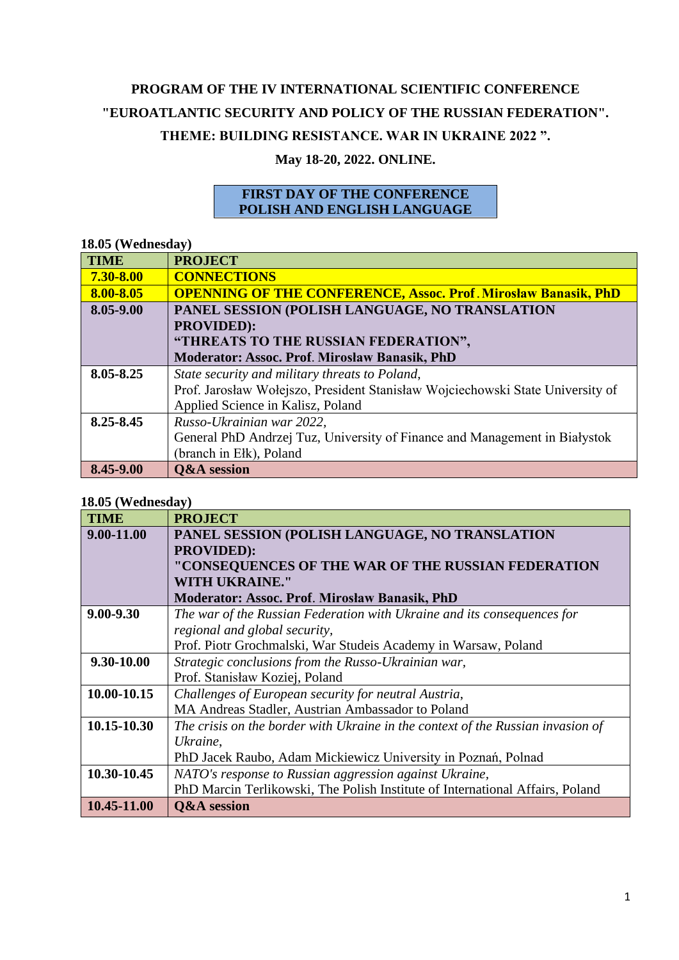# **PROGRAM OF THE IV INTERNATIONAL SCIENTIFIC CONFERENCE "EUROATLANTIC SECURITY AND POLICY OF THE RUSSIAN FEDERATION". THEME: BUILDING RESISTANCE. WAR IN UKRAINE 2022 ".**

## **May 18-20, 2022. ONLINE.**

### **FIRST DAY OF THE CONFERENCE POLISH AND ENGLISH LANGUAGE**

### **18.05 (Wednesday)**

| <b>TIME</b> | <b>PROJECT</b>                                                                 |
|-------------|--------------------------------------------------------------------------------|
| 7.30-8.00   | <b>CONNECTIONS</b>                                                             |
| 8.00-8.05   | <b>OPENNING OF THE CONFERENCE, Assoc. Prof. Mirosław Banasik, PhD</b>          |
| 8.05-9.00   | PANEL SESSION (POLISH LANGUAGE, NO TRANSLATION                                 |
|             | <b>PROVIDED):</b>                                                              |
|             | "THREATS TO THE RUSSIAN FEDERATION",                                           |
|             | Moderator: Assoc. Prof. Mirosław Banasik, PhD                                  |
| 8.05-8.25   | State security and military threats to Poland,                                 |
|             | Prof. Jarosław Wołejszo, President Stanisław Wojciechowski State University of |
|             | Applied Science in Kalisz, Poland                                              |
| 8.25-8.45   | Russo-Ukrainian war 2022,                                                      |
|             | General PhD Andrzej Tuz, University of Finance and Management in Białystok     |
|             | (branch in Ełk), Poland                                                        |
| 8.45-9.00   | <b>Q&amp;A</b> session                                                         |

#### **18.05 (Wednesday)**

| <b>TIME</b> | <b>PROJECT</b>                                                                  |
|-------------|---------------------------------------------------------------------------------|
| 9.00-11.00  | PANEL SESSION (POLISH LANGUAGE, NO TRANSLATION                                  |
|             | <b>PROVIDED):</b>                                                               |
|             | "CONSEQUENCES OF THE WAR OF THE RUSSIAN FEDERATION                              |
|             | <b>WITH UKRAINE."</b>                                                           |
|             | <b>Moderator: Assoc. Prof. Mirosław Banasik, PhD</b>                            |
| 9.00-9.30   | The war of the Russian Federation with Ukraine and its consequences for         |
|             | regional and global security,                                                   |
|             | Prof. Piotr Grochmalski, War Studeis Academy in Warsaw, Poland                  |
| 9.30-10.00  | Strategic conclusions from the Russo-Ukrainian war,                             |
|             | Prof. Stanisław Koziej, Poland                                                  |
| 10.00-10.15 | Challenges of European security for neutral Austria,                            |
|             | MA Andreas Stadler, Austrian Ambassador to Poland                               |
| 10.15-10.30 | The crisis on the border with Ukraine in the context of the Russian invasion of |
|             | Ukraine,                                                                        |
|             | PhD Jacek Raubo, Adam Mickiewicz University in Poznań, Polnad                   |
| 10.30-10.45 | NATO's response to Russian aggression against Ukraine,                          |
|             | PhD Marcin Terlikowski, The Polish Institute of International Affairs, Poland   |
| 10.45-11.00 | <b>Q&amp;A</b> session                                                          |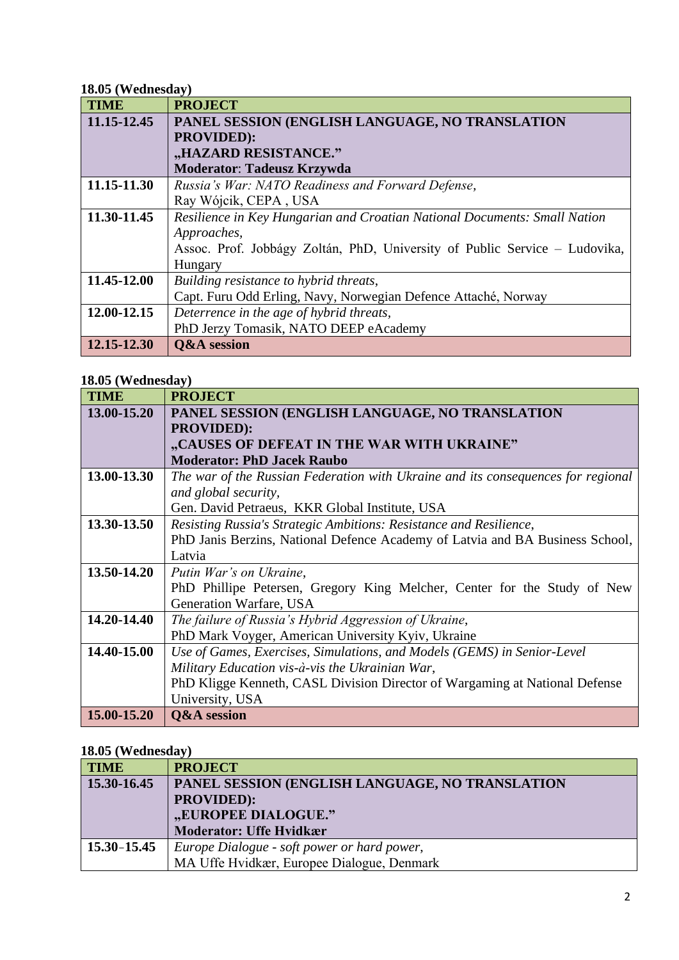### **18.05 (Wednesday)**

| <b>TIME</b> | <b>PROJECT</b>                                                             |
|-------------|----------------------------------------------------------------------------|
| 11.15-12.45 | PANEL SESSION (ENGLISH LANGUAGE, NO TRANSLATION                            |
|             | <b>PROVIDED):</b>                                                          |
|             | "HAZARD RESISTANCE."                                                       |
|             | <b>Moderator: Tadeusz Krzywda</b>                                          |
| 11.15-11.30 | Russia's War: NATO Readiness and Forward Defense,                          |
|             | Ray Wójcik, CEPA, USA                                                      |
| 11.30-11.45 | Resilience in Key Hungarian and Croatian National Documents: Small Nation  |
|             | Approaches,                                                                |
|             | Assoc. Prof. Jobbágy Zoltán, PhD, University of Public Service – Ludovika, |
|             | Hungary                                                                    |
| 11.45-12.00 | Building resistance to hybrid threats,                                     |
|             | Capt. Furu Odd Erling, Navy, Norwegian Defence Attaché, Norway             |
| 12.00-12.15 | Deterrence in the age of hybrid threats,                                   |
|             | PhD Jerzy Tomasik, NATO DEEP eAcademy                                      |
| 12.15-12.30 | <b>Q&amp;A</b> session                                                     |

### **18.05 (Wednesday)**

| <b>TIME</b> | <b>PROJECT</b>                                                                   |
|-------------|----------------------------------------------------------------------------------|
| 13.00-15.20 | PANEL SESSION (ENGLISH LANGUAGE, NO TRANSLATION                                  |
|             | <b>PROVIDED):</b>                                                                |
|             | "CAUSES OF DEFEAT IN THE WAR WITH UKRAINE"                                       |
|             | <b>Moderator: PhD Jacek Raubo</b>                                                |
| 13.00-13.30 | The war of the Russian Federation with Ukraine and its consequences for regional |
|             | and global security,                                                             |
|             | Gen. David Petraeus, KKR Global Institute, USA                                   |
| 13.30-13.50 | Resisting Russia's Strategic Ambitions: Resistance and Resilience,               |
|             | PhD Janis Berzins, National Defence Academy of Latvia and BA Business School,    |
|             | Latvia                                                                           |
| 13.50-14.20 | Putin War's on Ukraine,                                                          |
|             | PhD Phillipe Petersen, Gregory King Melcher, Center for the Study of New         |
|             | Generation Warfare, USA                                                          |
| 14.20-14.40 | The failure of Russia's Hybrid Aggression of Ukraine,                            |
|             | PhD Mark Voyger, American University Kyiv, Ukraine                               |
| 14.40-15.00 | Use of Games, Exercises, Simulations, and Models (GEMS) in Senior-Level          |
|             | Military Education vis-à-vis the Ukrainian War,                                  |
|             | PhD Kligge Kenneth, CASL Division Director of Wargaming at National Defense      |
|             | University, USA                                                                  |
| 15.00-15.20 | <b>Q&amp;A</b> session                                                           |

### **18.05 (Wednesday)**

| <b>TIME</b>     | <b>PROJECT</b>                                  |
|-----------------|-------------------------------------------------|
| 15.30-16.45     | PANEL SESSION (ENGLISH LANGUAGE, NO TRANSLATION |
|                 | <b>PROVIDED):</b>                               |
|                 | "EUROPEE DIALOGUE."                             |
|                 | <b>Moderator: Uffe Hvidkær</b>                  |
| $15.30 - 15.45$ | Europe Dialogue - soft power or hard power,     |
|                 | MA Uffe Hvidkær, Europee Dialogue, Denmark      |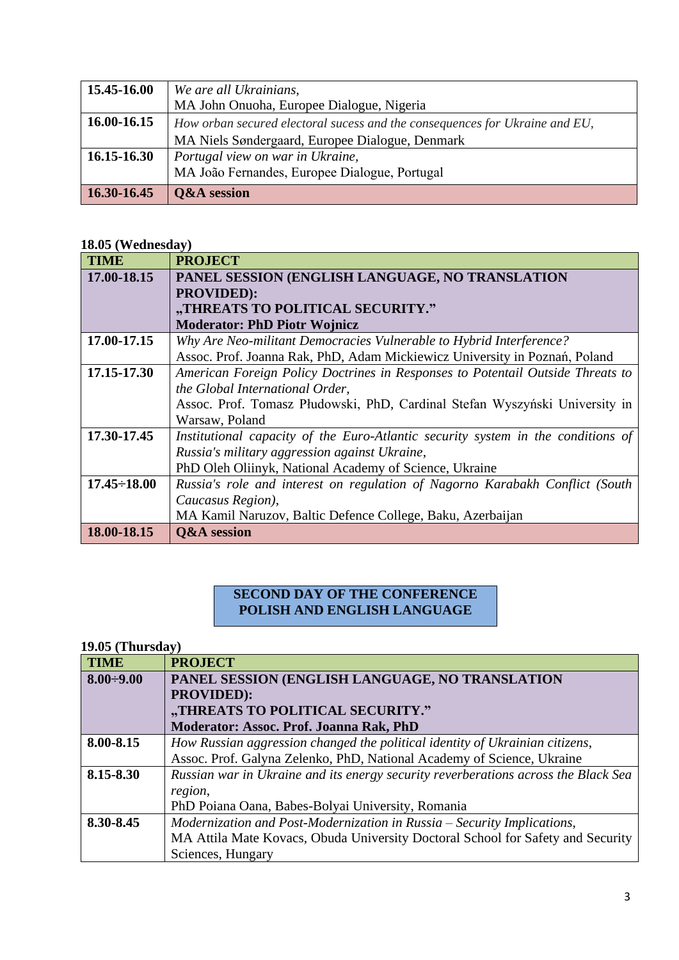| 15.45-16.00 | We are all Ukrainians,                                                      |
|-------------|-----------------------------------------------------------------------------|
|             | MA John Onuoha, Europee Dialogue, Nigeria                                   |
| 16.00-16.15 | How orban secured electoral sucess and the consequences for Ukraine and EU, |
|             | MA Niels Søndergaard, Europee Dialogue, Denmark                             |
| 16.15-16.30 | Portugal view on war in Ukraine,                                            |
|             | MA João Fernandes, Europee Dialogue, Portugal                               |
| 16.30-16.45 | <b>Q&amp;A</b> session                                                      |

### **18.05 (Wednesday)**

| <b>TIME</b>        | <b>PROJECT</b>                                                                   |
|--------------------|----------------------------------------------------------------------------------|
| 17.00-18.15        | PANEL SESSION (ENGLISH LANGUAGE, NO TRANSLATION                                  |
|                    | <b>PROVIDED):</b>                                                                |
|                    | "THREATS TO POLITICAL SECURITY."                                                 |
|                    | <b>Moderator: PhD Piotr Wojnicz</b>                                              |
| 17.00-17.15        | Why Are Neo-militant Democracies Vulnerable to Hybrid Interference?              |
|                    | Assoc. Prof. Joanna Rak, PhD, Adam Mickiewicz University in Poznań, Poland       |
| 17.15-17.30        | American Foreign Policy Doctrines in Responses to Potentail Outside Threats to   |
|                    | the Global International Order,                                                  |
|                    | Assoc. Prof. Tomasz Płudowski, PhD, Cardinal Stefan Wyszyński University in      |
|                    | Warsaw, Poland                                                                   |
| 17.30-17.45        | Institutional capacity of the Euro-Atlantic security system in the conditions of |
|                    | Russia's military aggression against Ukraine,                                    |
|                    | PhD Oleh Oliinyk, National Academy of Science, Ukraine                           |
| $17.45 \div 18.00$ | Russia's role and interest on regulation of Nagorno Karabakh Conflict (South     |
|                    | Caucasus Region),                                                                |
|                    | MA Kamil Naruzov, Baltic Defence College, Baku, Azerbaijan                       |
| 18.00-18.15        | <b>Q&amp;A</b> session                                                           |

### **SECOND DAY OF THE CONFERENCE POLISH AND ENGLISH LANGUAGE**

## **19.05 (Thursday)**

| <b>TIME</b>      | <b>PROJECT</b>                                                                     |
|------------------|------------------------------------------------------------------------------------|
| $8.00 \div 9.00$ | PANEL SESSION (ENGLISH LANGUAGE, NO TRANSLATION                                    |
|                  | <b>PROVIDED):</b>                                                                  |
|                  | "THREATS TO POLITICAL SECURITY."                                                   |
|                  | Moderator: Assoc. Prof. Joanna Rak, PhD                                            |
| 8.00-8.15        | How Russian aggression changed the political identity of Ukrainian citizens,       |
|                  | Assoc. Prof. Galyna Zelenko, PhD, National Academy of Science, Ukraine             |
| 8.15-8.30        | Russian war in Ukraine and its energy security reverberations across the Black Sea |
|                  | region,                                                                            |
|                  | PhD Poiana Oana, Babes-Bolyai University, Romania                                  |
| 8.30-8.45        | Modernization and Post-Modernization in Russia - Security Implications,            |
|                  | MA Attila Mate Kovacs, Obuda University Doctoral School for Safety and Security    |
|                  | Sciences, Hungary                                                                  |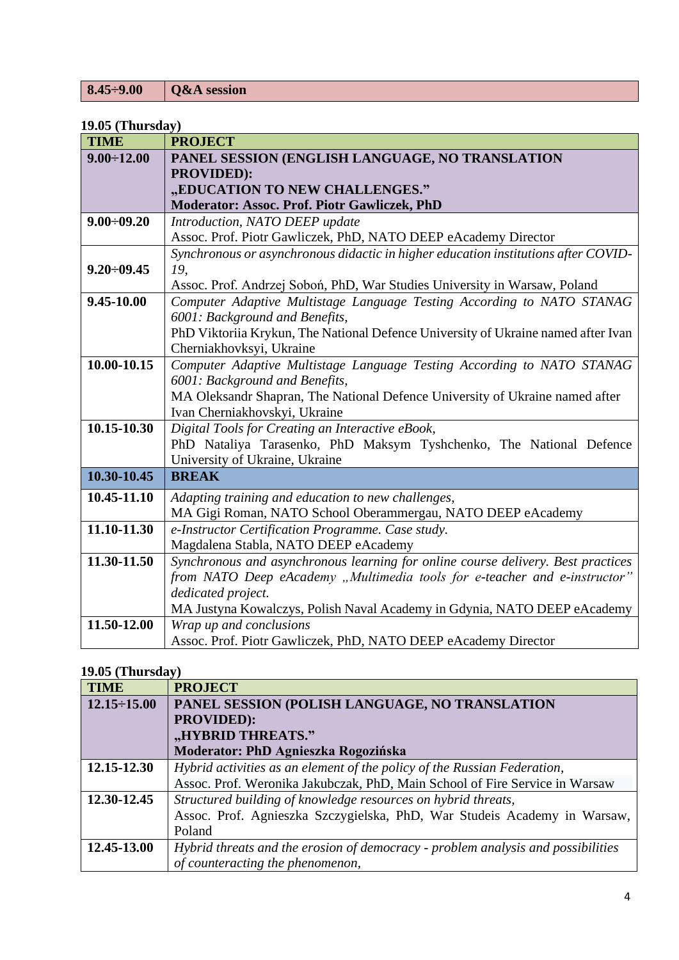|--|

### **19.05 (Thursday)**

| <b>TIME</b>       | <b>PROJECT</b>                                                                     |
|-------------------|------------------------------------------------------------------------------------|
| $9.00 \div 12.00$ | PANEL SESSION (ENGLISH LANGUAGE, NO TRANSLATION                                    |
|                   | <b>PROVIDED):</b>                                                                  |
|                   | "EDUCATION TO NEW CHALLENGES."                                                     |
|                   | Moderator: Assoc. Prof. Piotr Gawliczek, PhD                                       |
| $9.00 \div 09.20$ | Introduction, NATO DEEP update                                                     |
|                   | Assoc. Prof. Piotr Gawliczek, PhD, NATO DEEP eAcademy Director                     |
|                   | Synchronous or asynchronous didactic in higher education institutions after COVID- |
| $9.20 \div 09.45$ | 19,                                                                                |
|                   | Assoc. Prof. Andrzej Soboń, PhD, War Studies University in Warsaw, Poland          |
| 9.45-10.00        | Computer Adaptive Multistage Language Testing According to NATO STANAG             |
|                   | 6001: Background and Benefits,                                                     |
|                   | PhD Viktoriia Krykun, The National Defence University of Ukraine named after Ivan  |
|                   | Cherniakhovksyi, Ukraine                                                           |
| 10.00-10.15       | Computer Adaptive Multistage Language Testing According to NATO STANAG             |
|                   | 6001: Background and Benefits,                                                     |
|                   | MA Oleksandr Shapran, The National Defence University of Ukraine named after       |
|                   | Ivan Cherniakhovskyi, Ukraine                                                      |
| 10.15-10.30       | Digital Tools for Creating an Interactive eBook,                                   |
|                   | PhD Nataliya Tarasenko, PhD Maksym Tyshchenko, The National Defence                |
|                   | University of Ukraine, Ukraine                                                     |
| 10.30-10.45       | <b>BREAK</b>                                                                       |
| 10.45-11.10       | Adapting training and education to new challenges,                                 |
|                   | MA Gigi Roman, NATO School Oberammergau, NATO DEEP eAcademy                        |
| 11.10-11.30       | e-Instructor Certification Programme. Case study.                                  |
|                   | Magdalena Stabla, NATO DEEP eAcademy                                               |
| 11.30-11.50       | Synchronous and asynchronous learning for online course delivery. Best practices   |
|                   | from NATO Deep eAcademy "Multimedia tools for e-teacher and e-instructor"          |
|                   | dedicated project.                                                                 |
|                   | MA Justyna Kowalczys, Polish Naval Academy in Gdynia, NATO DEEP eAcademy           |
| 11.50-12.00       | Wrap up and conclusions                                                            |
|                   | Assoc. Prof. Piotr Gawliczek, PhD, NATO DEEP eAcademy Director                     |

# **19.05 (Thursday)**

| <b>TIME</b>        | <b>PROJECT</b>                                                                   |
|--------------------|----------------------------------------------------------------------------------|
| $12.15 \div 15.00$ | PANEL SESSION (POLISH LANGUAGE, NO TRANSLATION                                   |
|                    | <b>PROVIDED):</b>                                                                |
|                    | "HYBRID THREATS."                                                                |
|                    | Moderator: PhD Agnieszka Rogozińska                                              |
| 12.15-12.30        | Hybrid activities as an element of the policy of the Russian Federation,         |
|                    | Assoc. Prof. Weronika Jakubczak, PhD, Main School of Fire Service in Warsaw      |
| 12.30-12.45        | Structured building of knowledge resources on hybrid threats,                    |
|                    | Assoc. Prof. Agnieszka Szczygielska, PhD, War Studeis Academy in Warsaw,         |
|                    | Poland                                                                           |
| 12.45-13.00        | Hybrid threats and the erosion of democracy - problem analysis and possibilities |
|                    | of counteracting the phenomenon,                                                 |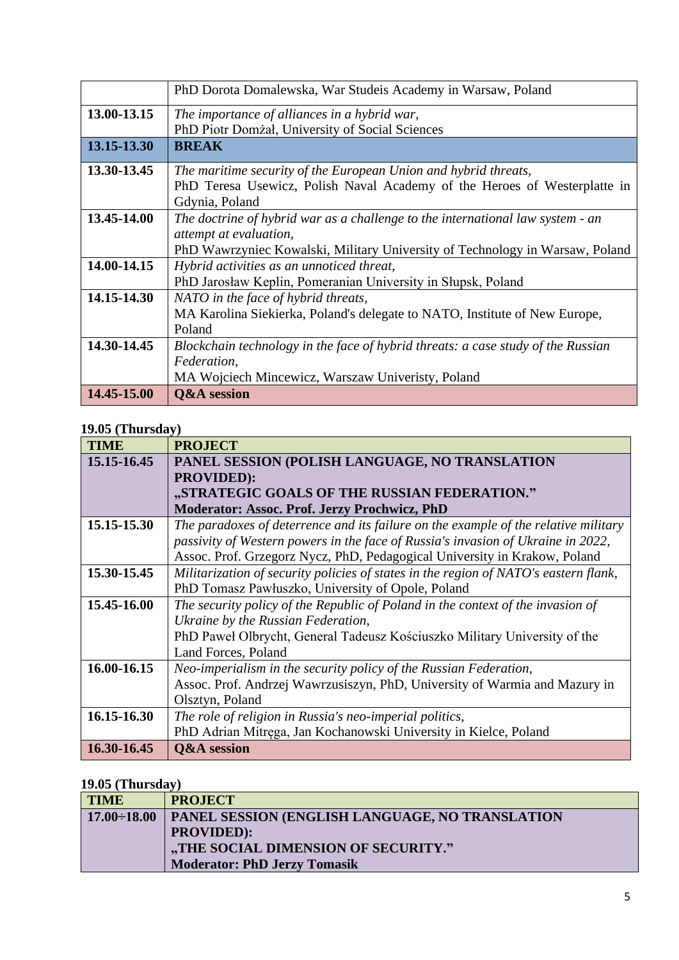|             | PhD Dorota Domalewska, War Studeis Academy in Warsaw, Poland                     |
|-------------|----------------------------------------------------------------------------------|
| 13.00-13.15 | The importance of alliances in a hybrid war,                                     |
|             | PhD Piotr Domżał, University of Social Sciences                                  |
| 13.15-13.30 | <b>BREAK</b>                                                                     |
| 13.30-13.45 | The maritime security of the European Union and hybrid threats,                  |
|             | PhD Teresa Usewicz, Polish Naval Academy of the Heroes of Westerplatte in        |
|             | Gdynia, Poland                                                                   |
| 13.45-14.00 | The doctrine of hybrid war as a challenge to the international law system - an   |
|             | <i>attempt at evaluation,</i>                                                    |
|             | PhD Wawrzyniec Kowalski, Military University of Technology in Warsaw, Poland     |
| 14.00-14.15 | Hybrid activities as an unnoticed threat,                                        |
|             | PhD Jarosław Keplin, Pomeranian University in Słupsk, Poland                     |
| 14.15-14.30 | NATO in the face of hybrid threats,                                              |
|             | MA Karolina Siekierka, Poland's delegate to NATO, Institute of New Europe,       |
|             | Poland                                                                           |
| 14.30-14.45 | Blockchain technology in the face of hybrid threats: a case study of the Russian |
|             | Federation,                                                                      |
|             | MA Wojciech Mincewicz, Warszaw Univeristy, Poland                                |
| 14.45-15.00 | <b>Q&amp;A</b> session                                                           |

### **19.05 (Thursday)**

| <b>TIME</b> | <b>PROJECT</b>                                                                       |
|-------------|--------------------------------------------------------------------------------------|
| 15.15-16.45 | PANEL SESSION (POLISH LANGUAGE, NO TRANSLATION                                       |
|             | <b>PROVIDED):</b>                                                                    |
|             | "STRATEGIC GOALS OF THE RUSSIAN FEDERATION."                                         |
|             | <b>Moderator: Assoc. Prof. Jerzy Prochwicz, PhD</b>                                  |
| 15.15-15.30 | The paradoxes of deterrence and its failure on the example of the relative military  |
|             | passivity of Western powers in the face of Russia's invasion of Ukraine in 2022,     |
|             | Assoc. Prof. Grzegorz Nycz, PhD, Pedagogical University in Krakow, Poland            |
| 15.30-15.45 | Militarization of security policies of states in the region of NATO's eastern flank, |
|             | PhD Tomasz Pawłuszko, University of Opole, Poland                                    |
| 15.45-16.00 | The security policy of the Republic of Poland in the context of the invasion of      |
|             | Ukraine by the Russian Federation,                                                   |
|             | PhD Paweł Olbrycht, General Tadeusz Kościuszko Military University of the            |
|             | Land Forces, Poland                                                                  |
| 16.00-16.15 | Neo-imperialism in the security policy of the Russian Federation,                    |
|             | Assoc. Prof. Andrzej Wawrzusiszyn, PhD, University of Warmia and Mazury in           |
|             | Olsztyn, Poland                                                                      |
| 16.15-16.30 | The role of religion in Russia's neo-imperial politics,                              |
|             | PhD Adrian Mitrega, Jan Kochanowski University in Kielce, Poland                     |
| 16.30-16.45 | <b>Q&amp;A</b> session                                                               |

# **19.05 (Thursday)**

| <b>TIME</b>        | <b>PROJECT</b>                                         |
|--------------------|--------------------------------------------------------|
| $17.00 \div 18.00$ | <b>PANEL SESSION (ENGLISH LANGUAGE, NO TRANSLATION</b> |
|                    | <b>PROVIDED):</b>                                      |
|                    | "THE SOCIAL DIMENSION OF SECURITY."                    |
|                    | <b>Moderator: PhD Jerzy Tomasik</b>                    |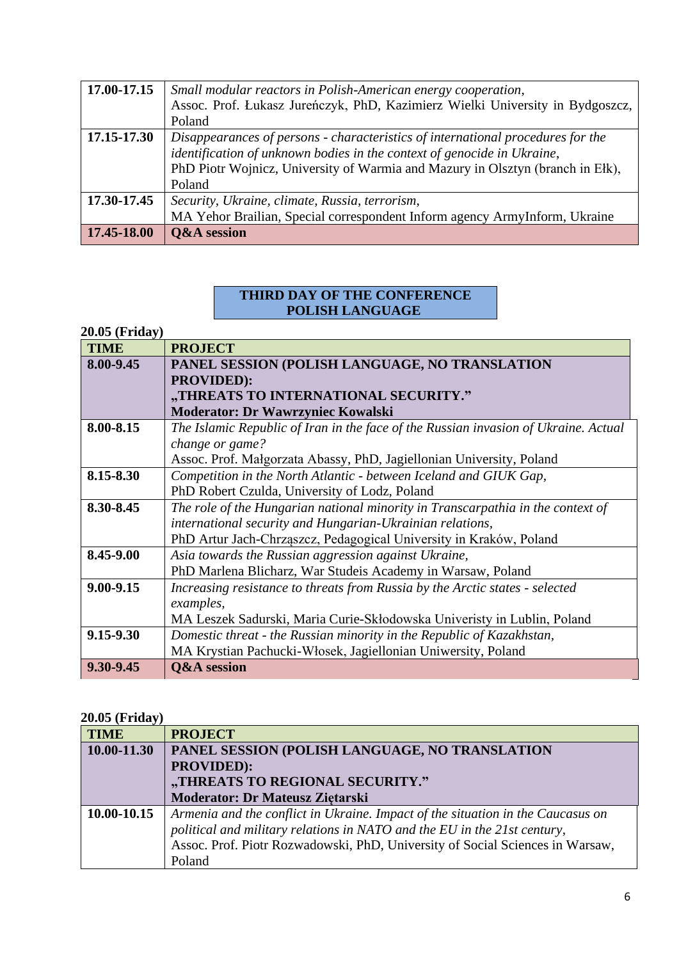| 17.00-17.15 | Small modular reactors in Polish-American energy cooperation,                   |
|-------------|---------------------------------------------------------------------------------|
|             | Assoc. Prof. Łukasz Jureńczyk, PhD, Kazimierz Wielki University in Bydgoszcz,   |
|             | Poland                                                                          |
| 17.15-17.30 | Disappearances of persons - characteristics of international procedures for the |
|             | identification of unknown bodies in the context of genocide in Ukraine,         |
|             | PhD Piotr Wojnicz, University of Warmia and Mazury in Olsztyn (branch in Ełk),  |
|             | Poland                                                                          |
| 17.30-17.45 | Security, Ukraine, climate, Russia, terrorism,                                  |
|             | MA Yehor Brailian, Special correspondent Inform agency ArmyInform, Ukraine      |
| 17.45-18.00 | <b>Q&amp;A</b> session                                                          |

### **THIRD DAY OF THE CONFERENCE POLISH LANGUAGE**

#### **20.05 (Friday)**

| <b>TIME</b> | <b>PROJECT</b>                                                                      |
|-------------|-------------------------------------------------------------------------------------|
| 8.00-9.45   | PANEL SESSION (POLISH LANGUAGE, NO TRANSLATION                                      |
|             | <b>PROVIDED):</b>                                                                   |
|             | "THREATS TO INTERNATIONAL SECURITY."                                                |
|             | <b>Moderator: Dr Wawrzyniec Kowalski</b>                                            |
| 8.00-8.15   | The Islamic Republic of Iran in the face of the Russian invasion of Ukraine. Actual |
|             | change or game?                                                                     |
|             | Assoc. Prof. Małgorzata Abassy, PhD, Jagiellonian University, Poland                |
| 8.15-8.30   | Competition in the North Atlantic - between Iceland and GIUK Gap,                   |
|             | PhD Robert Czulda, University of Lodz, Poland                                       |
| 8.30-8.45   | The role of the Hungarian national minority in Transcarpathia in the context of     |
|             | international security and Hungarian-Ukrainian relations,                           |
|             | PhD Artur Jach-Chrząszcz, Pedagogical University in Kraków, Poland                  |
| 8.45-9.00   | Asia towards the Russian aggression against Ukraine,                                |
|             | PhD Marlena Blicharz, War Studeis Academy in Warsaw, Poland                         |
| 9.00-9.15   | Increasing resistance to threats from Russia by the Arctic states - selected        |
|             | examples,                                                                           |
|             | MA Leszek Sadurski, Maria Curie-Skłodowska Univeristy in Lublin, Poland             |
| 9.15-9.30   | Domestic threat - the Russian minority in the Republic of Kazakhstan,               |
|             | MA Krystian Pachucki-Włosek, Jagiellonian Uniwersity, Poland                        |
| 9.30-9.45   | <b>Q&amp;A</b> session                                                              |

# **20.05 (Friday)**

| <b>TIME</b> | <b>PROJECT</b>                                                                  |
|-------------|---------------------------------------------------------------------------------|
| 10.00-11.30 | PANEL SESSION (POLISH LANGUAGE, NO TRANSLATION                                  |
|             | <b>PROVIDED):</b>                                                               |
|             | "THREATS TO REGIONAL SECURITY."                                                 |
|             | <b>Moderator: Dr Mateusz Ziętarski</b>                                          |
| 10.00-10.15 | Armenia and the conflict in Ukraine. Impact of the situation in the Caucasus on |
|             | political and military relations in NATO and the EU in the 21st century,        |
|             | Assoc. Prof. Piotr Rozwadowski, PhD, University of Social Sciences in Warsaw,   |
|             | Poland                                                                          |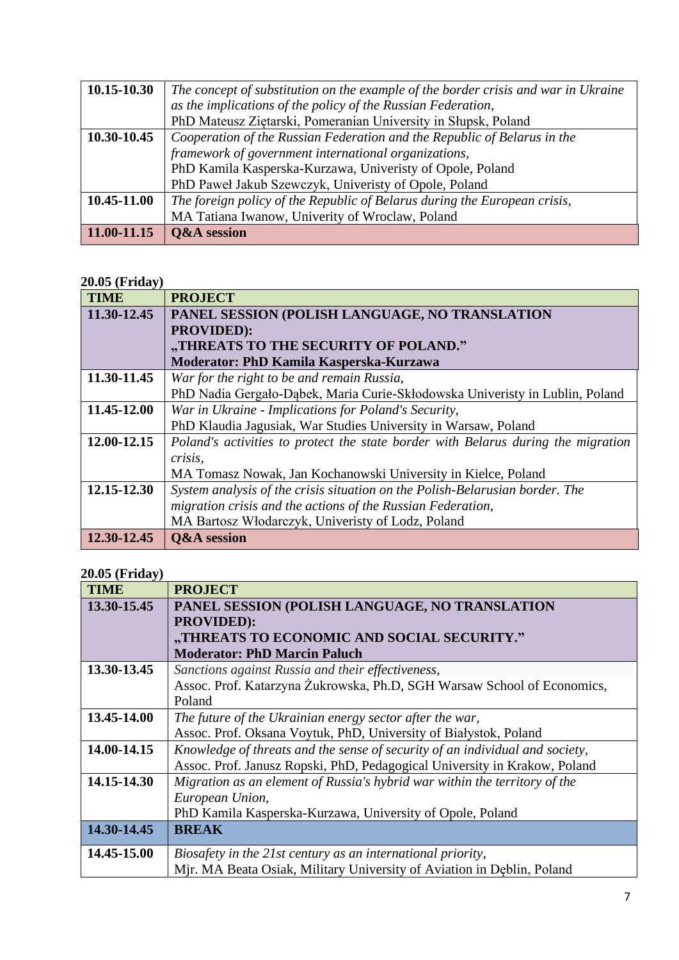| 10.15-10.30     | The concept of substitution on the example of the border crisis and war in Ukraine |
|-----------------|------------------------------------------------------------------------------------|
|                 | as the implications of the policy of the Russian Federation,                       |
|                 | PhD Mateusz Ziętarski, Pomeranian University in Słupsk, Poland                     |
| 10.30-10.45     | Cooperation of the Russian Federation and the Republic of Belarus in the           |
|                 | framework of government international organizations,                               |
|                 | PhD Kamila Kasperska-Kurzawa, Univeristy of Opole, Poland                          |
|                 | PhD Paweł Jakub Szewczyk, Univeristy of Opole, Poland                              |
| 10.45-11.00     | The foreign policy of the Republic of Belarus during the European crisis,          |
|                 | MA Tatiana Iwanow, Univerity of Wroclaw, Poland                                    |
| $11.00 - 11.15$ | <b>Q&amp;A</b> session                                                             |

## **20.05 (Friday)**

| <b>TIME</b> | <b>PROJECT</b>                                                                    |
|-------------|-----------------------------------------------------------------------------------|
| 11.30-12.45 | PANEL SESSION (POLISH LANGUAGE, NO TRANSLATION                                    |
|             | <b>PROVIDED):</b>                                                                 |
|             | "THREATS TO THE SECURITY OF POLAND."                                              |
|             | Moderator: PhD Kamila Kasperska-Kurzawa                                           |
| 11.30-11.45 | War for the right to be and remain Russia,                                        |
|             | PhD Nadia Gergało-Dąbek, Maria Curie-Skłodowska Univeristy in Lublin, Poland      |
| 11.45-12.00 | War in Ukraine - Implications for Poland's Security,                              |
|             | PhD Klaudia Jagusiak, War Studies University in Warsaw, Poland                    |
| 12.00-12.15 | Poland's activities to protect the state border with Belarus during the migration |
|             | crisis,                                                                           |
|             | MA Tomasz Nowak, Jan Kochanowski University in Kielce, Poland                     |
| 12.15-12.30 | System analysis of the crisis situation on the Polish-Belarusian border. The      |
|             | migration crisis and the actions of the Russian Federation,                       |
|             | MA Bartosz Włodarczyk, Univeristy of Lodz, Poland                                 |
| 12.30-12.45 | <b>Q&amp;A</b> session                                                            |

# **20.05 (Friday)**

| <b>TIME</b> | <b>PROJECT</b>                                                               |
|-------------|------------------------------------------------------------------------------|
| 13.30-15.45 | PANEL SESSION (POLISH LANGUAGE, NO TRANSLATION                               |
|             | <b>PROVIDED):</b>                                                            |
|             | "THREATS TO ECONOMIC AND SOCIAL SECURITY."                                   |
|             | <b>Moderator: PhD Marcin Paluch</b>                                          |
| 13.30-13.45 | Sanctions against Russia and their effectiveness,                            |
|             | Assoc. Prof. Katarzyna Żukrowska, Ph.D, SGH Warsaw School of Economics,      |
|             | Poland                                                                       |
| 13.45-14.00 | The future of the Ukrainian energy sector after the war,                     |
|             | Assoc. Prof. Oksana Voytuk, PhD, University of Białystok, Poland             |
| 14.00-14.15 | Knowledge of threats and the sense of security of an individual and society, |
|             | Assoc. Prof. Janusz Ropski, PhD, Pedagogical University in Krakow, Poland    |
| 14.15-14.30 | Migration as an element of Russia's hybrid war within the territory of the   |
|             | European Union,                                                              |
|             | PhD Kamila Kasperska-Kurzawa, University of Opole, Poland                    |
| 14.30-14.45 | <b>BREAK</b>                                                                 |
| 14.45-15.00 | Biosafety in the 21st century as an international priority,                  |
|             | Mir. MA Beata Osiak, Military University of Aviation in Deblin, Poland       |